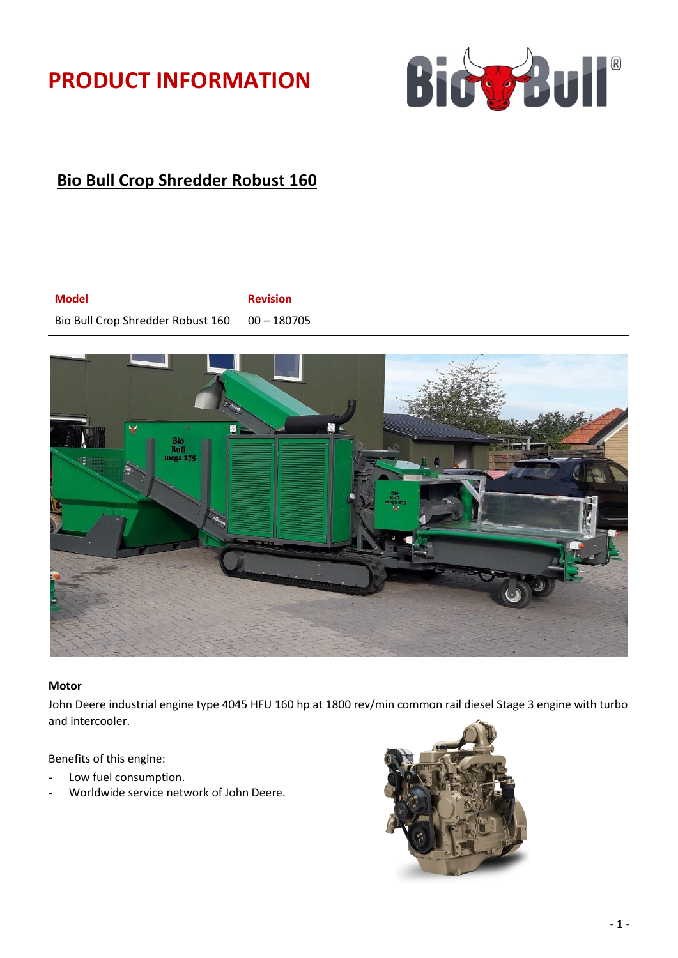# **PRODUCT INFORMATION**



# **Bio Bull Crop Shredder Robust 160**

## **Model Revision** Bio Bull Crop Shredder Robust 160 00 - 180705



### **Motor**

John Deere industrial engine type 4045 HFU 160 hp at 1800 rev/min common rail diesel Stage 3 engine with turbo and intercooler.

Benefits of this engine:

- Low fuel consumption.
- Worldwide service network of John Deere.

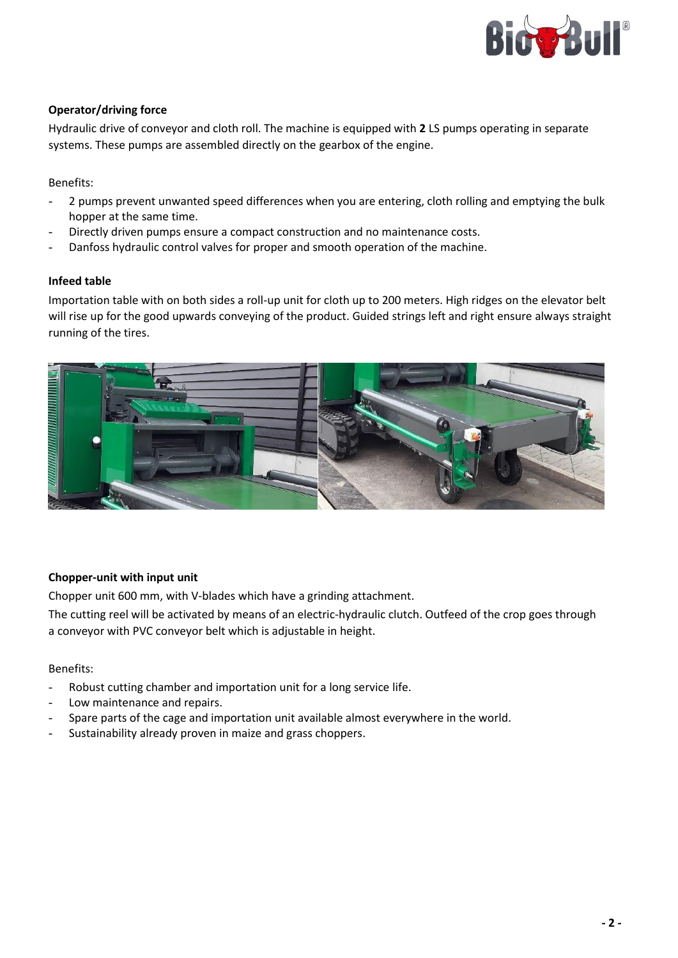

## **Operator/driving force**

Hydraulic drive of conveyor and cloth roll. The machine is equipped with **2** LS pumps operating in separate systems. These pumps are assembled directly on the gearbox of the engine.

Benefits:

- 2 pumps prevent unwanted speed differences when you are entering, cloth rolling and emptying the bulk hopper at the same time.
- Directly driven pumps ensure a compact construction and no maintenance costs.
- Danfoss hydraulic control valves for proper and smooth operation of the machine.

### **Infeed table**

Importation table with on both sides a roll-up unit for cloth up to 200 meters. High ridges on the elevator belt will rise up for the good upwards conveying of the product. Guided strings left and right ensure always straight running of the tires.



### **Chopper-unit with input unit**

Chopper unit 600 mm, with V-blades which have a grinding attachment.

The cutting reel will be activated by means of an electric-hydraulic clutch. Outfeed of the crop goes through a conveyor with PVC conveyor belt which is adjustable in height.

Benefits:

- Robust cutting chamber and importation unit for a long service life.
- Low maintenance and repairs.
- Spare parts of the cage and importation unit available almost everywhere in the world.
- Sustainability already proven in maize and grass choppers.